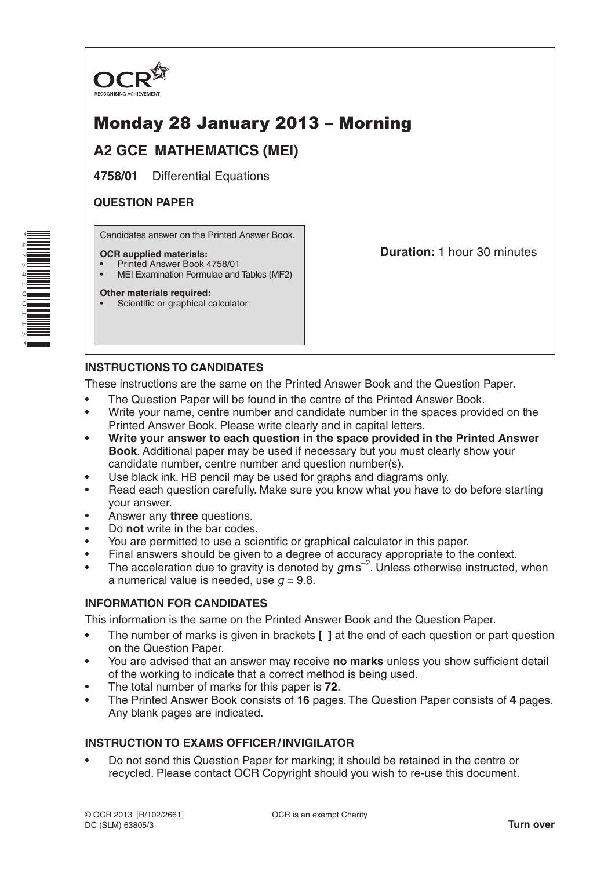

# Monday 28 January 2013 – Morning

## **A2 GCE MATHEMATICS (MEI)**

**4758/01** Differential Equations

### **QUESTION PAPER**

Candidates answer on the Printed Answer Book.

#### **OCR supplied materials:**

- Printed Answer Book 4758/01
- MEI Examination Formulae and Tables (MF2)

#### **Other materials required:**

• Scientific or graphical calculator

**Duration:** 1 hour 30 minutes

### **INSTRUCTIONS TO CANDIDATES**

These instructions are the same on the Printed Answer Book and the Question Paper.

- The Question Paper will be found in the centre of the Printed Answer Book.
- Write your name, centre number and candidate number in the spaces provided on the Printed Answer Book. Please write clearly and in capital letters.
- **• Write your answer to each question in the space provided in the Printed Answer Book**. Additional paper may be used if necessary but you must clearly show your candidate number, centre number and question number(s).
- Use black ink. HB pencil may be used for graphs and diagrams only.
- Read each question carefully. Make sure you know what you have to do before starting your answer.
- Answer any **three** questions.
- Do **not** write in the bar codes.
- You are permitted to use a scientific or graphical calculator in this paper.
- Final answers should be given to a degree of accuracy appropriate to the context.
- The acceleration due to gravity is denoted by  $g$ ms<sup>-2</sup>. Unless otherwise instructed, when a numerical value is needed, use  $q = 9.8$ .

### **INFORMATION FOR CANDIDATES**

This information is the same on the Printed Answer Book and the Question Paper.

- The number of marks is given in brackets **[ ]** at the end of each question or part question on the Question Paper.
- You are advised that an answer may receive **no marks** unless you show sufficient detail of the working to indicate that a correct method is being used.
- The total number of marks for this paper is **72**.
- The Printed Answer Book consists of **16** pages. The Question Paper consists of **4** pages. Any blank pages are indicated.

### **INSTRUCTION TO EXAMS OFFICER/INVIGILATOR**

• Do not send this Question Paper for marking; it should be retained in the centre or recycled. Please contact OCR Copyright should you wish to re-use this document.

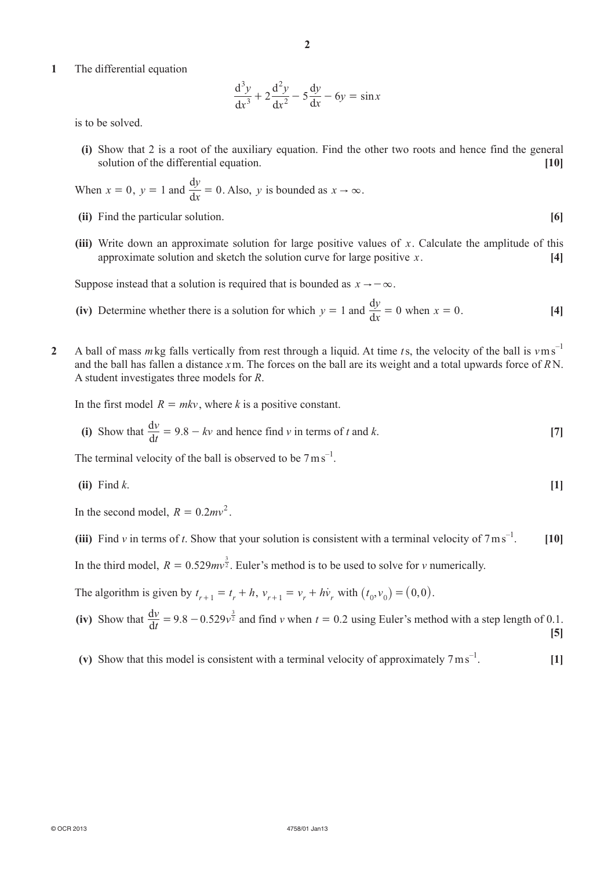**1**  The differential equation

$$
\frac{d^3y}{dx^3} + 2\frac{d^2y}{dx^2} - 5\frac{dy}{dx} - 6y = \sin x
$$

is to be solved.

**(i)** Show that 2 is a root of the auxiliary equation. Find the other two roots and hence find the general solution of the differential equation. **[10]** 

When 
$$
x = 0
$$
,  $y = 1$  and  $\frac{dy}{dx} = 0$ . Also, y is bounded as  $x \to \infty$ .

- **(ii)** Find the particular solution. **[6]**
- **(iii)** Write down an approximate solution for large positive values of  $x$ . Calculate the amplitude of this approximate solution and sketch the solution curve for large positive *x*. **[4]**

Suppose instead that a solution is required that is bounded as  $x \rightarrow -\infty$ .

- (iv) Determine whether there is a solution for which  $y = 1$  and  $\frac{dy}{dx} = 0$  when  $x = 0$ . [4]
- **2**  A ball of mass *m*kg falls vertically from rest through a liquid. At time *t*s, the velocity of the ball is *v*ms –1 and the ball has fallen a distance *x*m. The forces on the ball are its weight and a total upwards force of *R*N. A student investigates three models for *R*.

In the first model  $R = mkv$ , where k is a positive constant.

(i) Show that 
$$
\frac{dv}{dt} = 9.8 - kv
$$
 and hence find v in terms of t and k. [7]

The terminal velocity of the ball is observed to be  $7 \text{ m s}^{-1}$ .

 $\left( \textbf{ii} \right)$  Find *k*.  $\left[ \textbf{1} \right]$ 

In the second model,  $R = 0.2mv^2$ .

**(iii)** Find *v* in terms of *t*. Show that your solution is consistent with a terminal velocity of  $7 \text{ m s}^{-1}$ . –1. **[10]**

In the third model,  $R = 0.529mv^{\frac{3}{2}}$ . Euler's method is to be used to solve for *v* numerically.

The algorithm is given by  $t_{r+1} = t_r + h$ ,  $v_{r+1} = v_r + h\dot{v}_r$  with  $(t_0, v_0) = (0, 0)$ .

(iv) Show that 
$$
\frac{dv}{dt} = 9.8 - 0.529v^{\frac{3}{2}}
$$
 and find v when  $t = 0.2$  using Euler's method with a step length of 0.1.

**(v)** Show that this model is consistent with a terminal velocity of approximately  $7 \text{ m s}^{-1}$ . [1]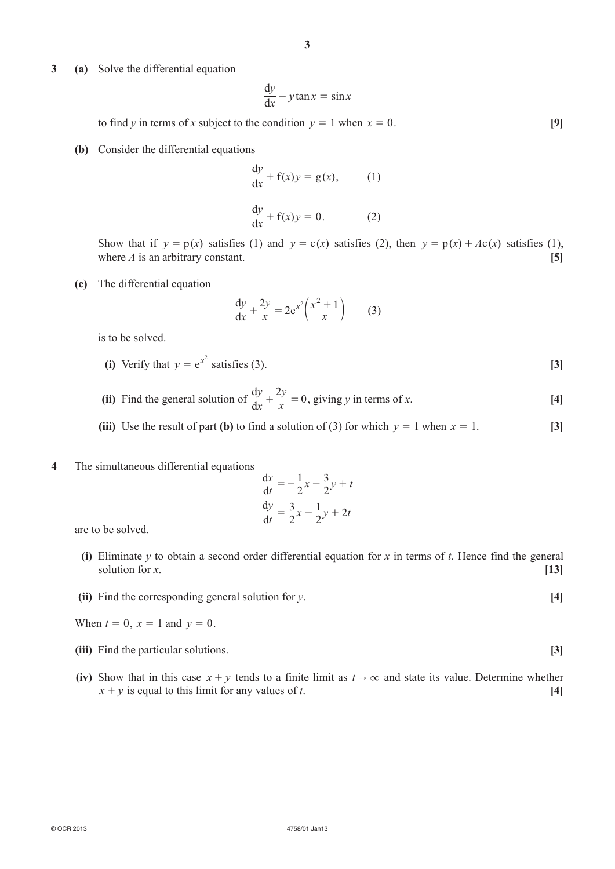**3 (a)**  Solve the differential equation

$$
\frac{\mathrm{d}y}{\mathrm{d}x} - y \tan x = \sin x
$$

to find *y* in terms of *x* subject to the condition  $y = 1$  when  $x = 0$ . [9]

**(b)** Consider the differential equations

$$
\frac{dy}{dx} + f(x)y = g(x),
$$
 (1)  

$$
\frac{dy}{dx} + f(x)y = 0.
$$
 (2)

Show that if  $y = p(x)$  satisfies (1) and  $y = c(x)$  satisfies (2), then  $y = p(x) + Ac(x)$  satisfies (1), where  $\vec{A}$  is an arbitrary constant. **[5]**  $\begin{bmatrix} 5 \end{bmatrix}$ 

 **(c)**  The differential equation

$$
\frac{dy}{dx} + \frac{2y}{x} = 2e^{x^2} \left(\frac{x^2 + 1}{x}\right) \tag{3}
$$

is to be solved.

- **(i)** Verify that  $y = e^{x^2}$  satisfies (3). **[3]**
- **(ii)** Find the general solution of  $\frac{dy}{dx}$  $\frac{dy}{dx} + \frac{2y}{x} = 0$  $+\frac{2y}{x} = 0$ , giving *y* in terms of *x*. [4]
	- **(iii)** Use the result of part **(b)** to find a solution of (3) for which  $y = 1$  when  $x = 1$ . **[3]**
- **4**  The simultaneous differential equations

$$
\frac{dx}{dt} = -\frac{1}{2}x - \frac{3}{2}y + t
$$

$$
\frac{dy}{dt} = \frac{3}{2}x - \frac{1}{2}y + 2t
$$

are to be solved.

- **(i)** Eliminate *y* to obtain a second order differential equation for *x* in terms of *t*. Hence find the general solution for *x*. **[13]**
- **(ii)** Find the corresponding general solution for *y*.

When  $t = 0$ ,  $x = 1$  and  $y = 0$ .

- **(iii)** Find the particular solutions. **[3]**
- **(iv)** Show that in this case  $x + y$  tends to a finite limit as  $t \to \infty$  and state its value. Determine whether  $x + y$  is equal to this limit for any values of *t*. **[4]**